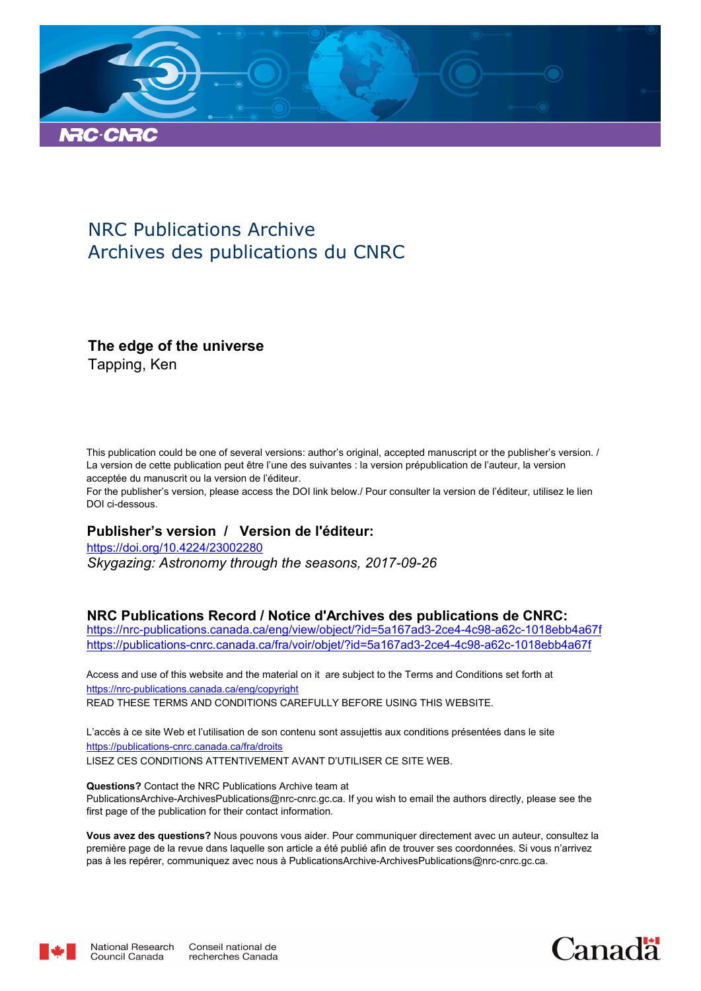

# NRC Publications Archive Archives des publications du CNRC

## **The edge of the universe**

Tapping, Ken

This publication could be one of several versions: author's original, accepted manuscript or the publisher's version. / La version de cette publication peut être l'une des suivantes : la version prépublication de l'auteur, la version acceptée du manuscrit ou la version de l'éditeur.

For the publisher's version, please access the DOI link below./ Pour consulter la version de l'éditeur, utilisez le lien DOI ci-dessous.

### **Publisher's version / Version de l'éditeur:**

*Skygazing: Astronomy through the seasons, 2017-09-26* https://doi.org/10.4224/23002280

#### **NRC Publications Record / Notice d'Archives des publications de CNRC:**

https://nrc-publications.canada.ca/eng/view/object/?id=5a167ad3-2ce4-4c98-a62c-1018ebb4a67f https://publications-cnrc.canada.ca/fra/voir/objet/?id=5a167ad3-2ce4-4c98-a62c-1018ebb4a67f

READ THESE TERMS AND CONDITIONS CAREFULLY BEFORE USING THIS WEBSITE. https://nrc-publications.canada.ca/eng/copyright Access and use of this website and the material on it are subject to the Terms and Conditions set forth at

https://publications-cnrc.canada.ca/fra/droits L'accès à ce site Web et l'utilisation de son contenu sont assujettis aux conditions présentées dans le site LISEZ CES CONDITIONS ATTENTIVEMENT AVANT D'UTILISER CE SITE WEB.

**Questions?** Contact the NRC Publications Archive team at PublicationsArchive-ArchivesPublications@nrc-cnrc.gc.ca. If you wish to email the authors directly, please see the first page of the publication for their contact information.

**Vous avez des questions?** Nous pouvons vous aider. Pour communiquer directement avec un auteur, consultez la première page de la revue dans laquelle son article a été publié afin de trouver ses coordonnées. Si vous n'arrivez pas à les repérer, communiquez avec nous à PublicationsArchive-ArchivesPublications@nrc-cnrc.gc.ca.